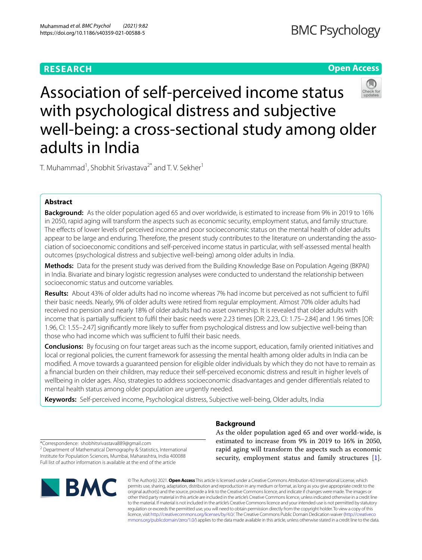# **RESEARCH**

# **Open Access**



Association of self-perceived income status with psychological distress and subjective well-being: a cross-sectional study among older adults in India

T. Muhammad<sup>1</sup>, Shobhit Srivastava<sup>2\*</sup> and T. V. Sekher<sup>1</sup>

# **Abstract**

**Background:** As the older population aged 65 and over worldwide, is estimated to increase from 9% in 2019 to 16% in 2050, rapid aging will transform the aspects such as economic security, employment status, and family structure. The efects of lower levels of perceived income and poor socioeconomic status on the mental health of older adults appear to be large and enduring. Therefore, the present study contributes to the literature on understanding the association of socioeconomic conditions and self-perceived income status in particular, with self-assessed mental health outcomes (psychological distress and subjective well-being) among older adults in India.

**Methods:** Data for the present study was derived from the Building Knowledge Base on Population Ageing (BKPAI) in India. Bivariate and binary logistic regression analyses were conducted to understand the relationship between socioeconomic status and outcome variables.

**Results:** About 43% of older adults had no income whereas 7% had income but perceived as not sufficient to fulfil their basic needs. Nearly, 9% of older adults were retired from regular employment. Almost 70% older adults had received no pension and nearly 18% of older adults had no asset ownership. It is revealed that older adults with income that is partially sufficient to fulfil their basic needs were 2.23 times [OR: 2.23, CI: 1.75–2.84] and 1.96 times [OR: 1.96, CI: 1.55–2.47] signifcantly more likely to sufer from psychological distress and low subjective well-being than those who had income which was sufficient to fulfil their basic needs.

**Conclusions:** By focusing on four target areas such as the income support, education, family oriented initiatives and local or regional policies, the current framework for assessing the mental health among older adults in India can be modifed. A move towards a guaranteed pension for eligible older individuals by which they do not have to remain as a fnancial burden on their children, may reduce their self-perceived economic distress and result in higher levels of wellbeing in older ages. Also, strategies to address socioeconomic disadvantages and gender diferentials related to mental health status among older population are urgently needed.

**Keywords:** Self-perceived income, Psychological distress, Subjective well-being, Older adults, India

\*Correspondence: shobhitsrivastava889@gmail.com

<sup>2</sup> Department of Mathematical Demography & Statistics, International Institute for Population Sciences, Mumbai, Maharashtra, India 400088 Full list of author information is available at the end of the article



# **Background**

As the older population aged 65 and over world-wide, is estimated to increase from 9% in 2019 to 16% in 2050, rapid aging will transform the aspects such as economic security, employment status and family structures [\[1](#page-10-0)].

© The Author(s) 2021. **Open Access** This article is licensed under a Creative Commons Attribution 4.0 International License, which permits use, sharing, adaptation, distribution and reproduction in any medium or format, as long as you give appropriate credit to the original author(s) and the source, provide a link to the Creative Commons licence, and indicate if changes were made. The images or other third party material in this article are included in the article's Creative Commons licence, unless indicated otherwise in a credit line to the material. If material is not included in the article's Creative Commons licence and your intended use is not permitted by statutory regulation or exceeds the permitted use, you will need to obtain permission directly from the copyright holder. To view a copy of this licence, visit [http://creativecommons.org/licenses/by/4.0/.](http://creativecommons.org/licenses/by/4.0/) The Creative Commons Public Domain Dedication waiver ([http://creativeco](http://creativecommons.org/publicdomain/zero/1.0/) [mmons.org/publicdomain/zero/1.0/](http://creativecommons.org/publicdomain/zero/1.0/)) applies to the data made available in this article, unless otherwise stated in a credit line to the data.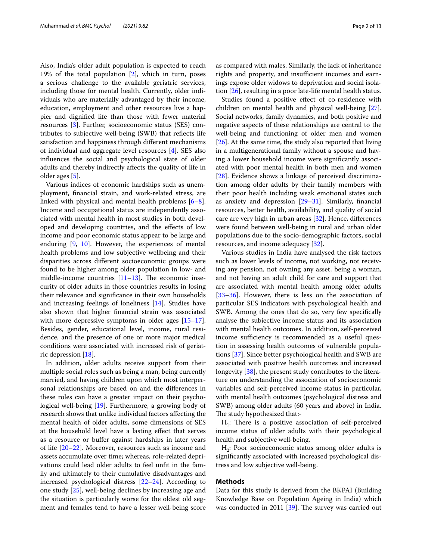Also, India's older adult population is expected to reach 19% of the total population [\[2](#page-10-1)], which in turn, poses a serious challenge to the available geriatric services, including those for mental health. Currently, older individuals who are materially advantaged by their income, education, employment and other resources live a happier and dignifed life than those with fewer material resources [[3\]](#page-10-2). Further, socioeconomic status (SES) contributes to subjective well-being (SWB) that refects life satisfaction and happiness through diferent mechanisms of individual and aggregate level resources [[4](#page-10-3)]. SES also infuences the social and psychological state of older adults and thereby indirectly afects the quality of life in older ages [\[5](#page-10-4)].

Various indices of economic hardships such as unemployment, fnancial strain, and work-related stress, are linked with physical and mental health problems [\[6](#page-10-5)[–8](#page-10-6)]. Income and occupational status are independently associated with mental health in most studies in both developed and developing countries, and the efects of low income and poor economic status appear to be large and enduring [\[9,](#page-10-7) [10](#page-10-8)]. However, the experiences of mental health problems and low subjective wellbeing and their disparities across diferent socioeconomic groups were found to be higher among older population in low- and middle-income countries  $[11–13]$  $[11–13]$  $[11–13]$ . The economic insecurity of older adults in those countries results in losing their relevance and signifcance in their own households and increasing feelings of loneliness [\[14](#page-11-1)]. Studies have also shown that higher fnancial strain was associated with more depressive symptoms in older ages  $[15-17]$  $[15-17]$  $[15-17]$ . Besides, gender, educational level, income, rural residence, and the presence of one or more major medical conditions were associated with increased risk of geriatric depression [\[18](#page-11-4)].

In addition, older adults receive support from their multiple social roles such as being a man, being currently married, and having children upon which most interpersonal relationships are based on and the diferences in these roles can have a greater impact on their psychological well-being [\[19](#page-11-5)]. Furthermore, a growing body of research shows that unlike individual factors afecting the mental health of older adults, some dimensions of SES at the household level have a lasting efect that serves as a resource or buffer against hardships in later years of life [[20–](#page-11-6)[22](#page-11-7)]. Moreover, resources such as income and assets accumulate over time; whereas, role-related deprivations could lead older adults to feel unft in the family and ultimately to their cumulative disadvantages and increased psychological distress [\[22](#page-11-7)[–24\]](#page-11-8). According to one study [[25](#page-11-9)], well-being declines by increasing age and the situation is particularly worse for the oldest old segment and females tend to have a lesser well-being score as compared with males. Similarly, the lack of inheritance rights and property, and insufficient incomes and earnings expose older widows to deprivation and social isolation [[26](#page-11-10)], resulting in a poor late-life mental health status.

Studies found a positive efect of co-residence with children on mental health and physical well-being [\[27](#page-11-11)]. Social networks, family dynamics, and both positive and negative aspects of these relationships are central to the well-being and functioning of older men and women [[26\]](#page-11-10). At the same time, the study also reported that living in a multigenerational family without a spouse and having a lower household income were signifcantly associated with poor mental health in both men and women [[28\]](#page-11-12). Evidence shows a linkage of perceived discrimination among older adults by their family members with their poor health including weak emotional states such as anxiety and depression [[29–](#page-11-13)[31](#page-11-14)]. Similarly, fnancial resources, better health, availability, and quality of social care are very high in urban areas [\[32](#page-11-15)]. Hence, diferences were found between well-being in rural and urban older populations due to the socio-demographic factors, social resources, and income adequacy [[32](#page-11-15)].

Various studies in India have analysed the risk factors such as lower levels of income, not working, not receiving any pension, not owning any asset, being a woman, and not having an adult child for care and support that are associated with mental health among older adults [[33–](#page-11-16)[36\]](#page-11-17). However, there is less on the association of particular SES indicators with psychological health and SWB. Among the ones that do so, very few specifcally analyse the subjective income status and its association with mental health outcomes. In addition, self-perceived income sufficiency is recommended as a useful question in assessing health outcomes of vulnerable populations [[37](#page-11-18)]. Since better psychological health and SWB are associated with positive health outcomes and increased longevity [[38\]](#page-11-19), the present study contributes to the literature on understanding the association of socioeconomic variables and self-perceived income status in particular, with mental health outcomes (psychological distress and SWB) among older adults (60 years and above) in India. The study hypothesized that:-

 $H_1$ : There is a positive association of self-perceived income status of older adults with their psychological health and subjective well-being.

 $H_2$ : Poor socioeconomic status among older adults is signifcantly associated with increased psychological distress and low subjective well-being.

# **Methods**

Data for this study is derived from the BKPAI (Building Knowledge Base on Population Ageing in India) which was conducted in 2011  $[39]$  $[39]$ . The survey was carried out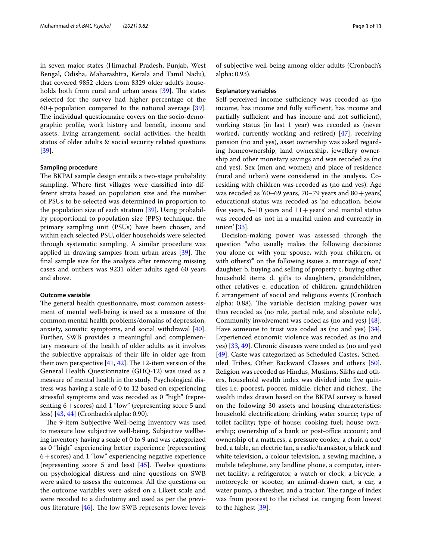in seven major states (Himachal Pradesh, Punjab, West Bengal, Odisha, Maharashtra, Kerala and Tamil Nadu), that covered 9852 elders from 8329 older adult's households both from rural and urban areas  $[39]$ . The states selected for the survey had higher percentage of the  $60 +$  population compared to the national average [\[39](#page-11-20)]. The individual questionnaire covers on the socio-demographic profle, work history and beneft, income and assets, living arrangement, social activities, the health status of older adults & social security related questions [[39\]](#page-11-20).

### **Sampling procedure**

The BKPAI sample design entails a two-stage probability sampling. Where frst villages were classifed into different strata based on population size and the number of PSUs to be selected was determined in proportion to the population size of each stratum [\[39](#page-11-20)]. Using probability proportional to population size (PPS) technique, the primary sampling unit (PSUs) have been chosen, and within each selected PSU, older households were selected through systematic sampling. A similar procedure was applied in drawing samples from urban areas  $[39]$ . The fnal sample size for the analysis after removing missing cases and outliers was 9231 older adults aged 60 years and above.

### **Outcome variable**

The general health questionnaire, most common assessment of mental well-being is used as a measure of the common mental health problems/domains of depression, anxiety, somatic symptoms, and social withdrawal [\[40](#page-11-21)]. Further, SWB provides a meaningful and complementary measure of the health of older adults as it involves the subjective appraisals of their life in older age from their own perspective  $[41, 42]$  $[41, 42]$  $[41, 42]$  $[41, 42]$ . The 12-item version of the General Health Questionnaire (GHQ-12) was used as a measure of mental health in the study. Psychological distress was having a scale of 0 to 12 based on experiencing stressful symptoms and was recoded as 0 "high" (representing 6+scores) and 1 "low" (representing score 5 and less) [\[43,](#page-11-24) [44](#page-11-25)] (Cronbach's alpha: 0.90).

The 9-item Subjective Well-being Inventory was used to measure low subjective well-being. Subjective wellbeing inventory having a scale of 0 to 9 and was categorized as 0 "high" experiencing better experience (representing  $6+$ scores) and 1 "low" experiencing negative experience (representing score 5 and less) [[45\]](#page-11-26). Twelve questions on psychological distress and nine questions on SWB were asked to assess the outcomes. All the questions on the outcome variables were asked on a Likert scale and were recoded to a dichotomy and used as per the previous literature  $[46]$  $[46]$ . The low SWB represents lower levels of subjective well-being among older adults (Cronbach's alpha: 0.93).

### **Explanatory variables**

Self-perceived income sufficiency was recoded as (no income, has income and fully sufficient, has income and partially sufficient and has income and not sufficient), working status (in last 1 year) was recoded as (never worked, currently working and retired) [\[47](#page-11-28)], receiving pension (no and yes), asset ownership was asked regarding homeownership, land ownership, jewellery ownership and other monetary savings and was recoded as (no and yes). Sex (men and women) and place of residence (rural and urban) were considered in the analysis. Coresiding with children was recoded as (no and yes). Age was recoded as '60–69 years, 70–79 years and  $80 + \text{years}$ ', educational status was recoded as 'no education, below five years,  $6-10$  years and  $11+$ years' and marital status was recoded as 'not in a marital union and currently in union' [[33\]](#page-11-16).

Decision-making power was assessed through the question "who usually makes the following decisions: you alone or with your spouse, with your children, or with others?" on the following issues a. marriage of son/ daughter. b. buying and selling of property c. buying other household items d. gifts to daughters, grandchildren, other relatives e. education of children, grandchildren f. arrangement of social and religious events (Cronbach alpha: 0.88). The variable decision making power was thus recoded as (no role, partial role, and absolute role). Community involvement was coded as (no and yes) [\[48](#page-11-29)]. Have someone to trust was coded as (no and yes) [\[34](#page-11-30)]. Experienced economic violence was recoded as (no and yes) [\[33](#page-11-16), [49](#page-11-31)]. Chronic diseases were coded as (no and yes) [[49\]](#page-11-31). Caste was categorized as Scheduled Castes, Scheduled Tribes, Other Backward Classes and others [\[50](#page-11-32)]. Religion was recoded as Hindus, Muslims, Sikhs and others, household wealth index was divided into fve quintiles i.e. poorest, poorer, middle, richer and richest. The wealth index drawn based on the BKPAI survey is based on the following 30 assets and housing characteristics: household electrifcation; drinking water source; type of toilet facility; type of house; cooking fuel; house ownership; ownership of a bank or post-office account; and ownership of a mattress, a pressure cooker, a chair, a cot/ bed, a table, an electric fan, a radio/transistor, a black and white television, a colour television, a sewing machine, a mobile telephone, any landline phone, a computer, internet facility; a refrigerator, a watch or clock, a bicycle, a motorcycle or scooter, an animal-drawn cart, a car, a water pump, a thresher, and a tractor. The range of index was from poorest to the richest i.e. ranging from lowest to the highest [[39\]](#page-11-20).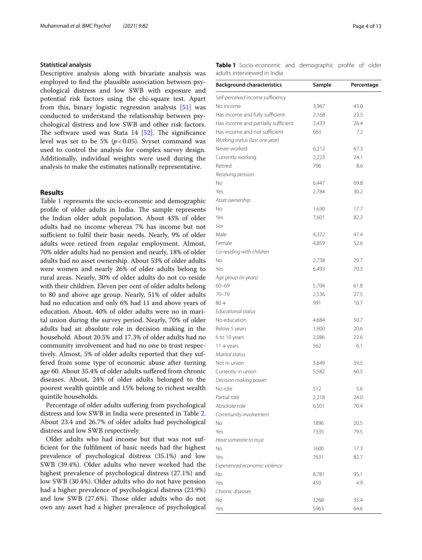### **Statistical analysis**

Descriptive analysis along with bivariate analysis was employed to fnd the plausible association between psychological distress and low SWB with exposure and potential risk factors using the chi-square test. Apart from this, binary logistic regression analysis [\[51\]](#page-11-33) was conducted to understand the relationship between psychological distress and low SWB and other risk factors. The software used was Stata  $14$  [[52\]](#page-11-34). The significance level was set to be 5%  $(p<0.05)$ . Svyset command was used to control the analysis for complex survey design. Additionally, individual weights were used during the analysis to make the estimates nationally representative.

# **Results**

Table [1](#page-3-0) represents the socio-economic and demographic profile of older adults in India. The sample represents the Indian older adult population. About 43% of older adults had no income whereas 7% has income but not sufficient to fulfil their basic needs. Nearly, 9% of older adults were retired from regular employment. Almost, 70% older adults had no pension and nearly, 18% of older adults had no asset ownership. About 53% of older adults were women and nearly 26% of older adults belong to rural areas. Nearly, 30% of older adults do not co-reside with their children. Eleven per cent of older adults belong to 80 and above age group. Nearly, 51% of older adults had no education and only 6% had 11 and above years of education. About, 40% of older adults were no in marital union during the survey period. Nearly, 70% of older adults had an absolute role in decision making in the household. About 20.5% and 17.3% of older adults had no community involvement and had no one to trust respectively. Almost, 5% of older adults reported that they suffered from some type of economic abuse after turning age 60. About 35.4% of older adults sufered from chronic diseases. About, 24% of older adults belonged to the poorest wealth quintile and 15% belong to richest wealth quintile households.

Percentage of older adults suffering from psychological distress and low SWB in India were presented in Table [2](#page-4-0). About 23.4 and 26.7% of older adults had psychological distress and low SWB respectively.

Older adults who had income but that was not suffcient for the fulflment of basic needs had the highest prevalence of psychological distress (35.1%) and low SWB (39.4%). Older adults who never worked had the highest prevalence of psychological distress (27.1%) and low SWB (30.4%). Older adults who do not have pension had a higher prevalence of psychological distress (23.9%) and low SWB (27.6%). Those older adults who do not own any asset had a higher prevalence of psychological <span id="page-3-0"></span>**Table 1** Socio-economic and demographic profle of older adults interviewed in India

| <b>Background characteristics</b>   | Sample | Percentage   |
|-------------------------------------|--------|--------------|
| Self-perceived income sufficiency   |        |              |
| No income                           | 3,967  | 43.0         |
| Has income and fully sufficient     | 2,168  | 23.5         |
| Has income and partially sufficient | 2,433  | 26.4         |
| Has income and not sufficient       | 663    | 7.2          |
| Working status (last one year)      |        |              |
| Never worked                        | 6,212  | 67.3         |
| Currently working                   | 2,223  | 24.1         |
| Retired                             | 796    | 8.6          |
| Receiving pension                   |        |              |
| No                                  | 6,447  | 69.8         |
| Yes                                 | 2,784  | 30.2         |
| Asset ownership                     |        |              |
| No                                  | 1,630  | 17.7         |
| Yes                                 | 7,601  | 82.3         |
| Sex                                 |        |              |
| Male                                | 4,372  | 47.4         |
| Female                              | 4,859  | 52.6         |
| Co-residing with children           |        |              |
| No                                  | 2,738  | 29.7         |
| Yes                                 | 6,493  | 70.3         |
|                                     |        |              |
| Age group (in years)<br>$60 - 69$   |        |              |
| $70 - 79$                           | 5,704  | 61.8<br>27.5 |
|                                     | 2,536  |              |
| $80 +$                              | 991    | 10.7         |
| Educational status                  |        |              |
| No education                        | 4,684  | 50.7         |
| Below 5 years                       | 1,900  | 20.6         |
| 6 to 10 years                       | 2,086  | 22.6         |
| $11 +$ years                        | 562    | 6.1          |
| Marital status                      |        |              |
| Not in union                        | 3,649  | 39.5         |
| Currently in union                  | 5,582  | 60.5         |
| Decision making power               |        |              |
| No role                             | 512    | 5.6          |
| Partial role                        | 2,218  | 24.0         |
| Absolute role                       | 6,501  | 70.4         |
| Community involvement               |        |              |
| No                                  | 1896   | 20.5         |
| Yes                                 | 7335   | 79.5         |
| Have someone to trust               |        |              |
| No                                  | 1600   | 17.3         |
| Yes                                 | 7631   | 82.7         |
| Experienced economic violence       |        |              |
| No                                  | 8,781  | 95.1         |
| Yes                                 | 450    | 4.9          |
| Chronic diseases                    |        |              |
| No                                  | 3268   | 35.4         |
| Yes                                 | 5963   | 64.6         |
|                                     |        |              |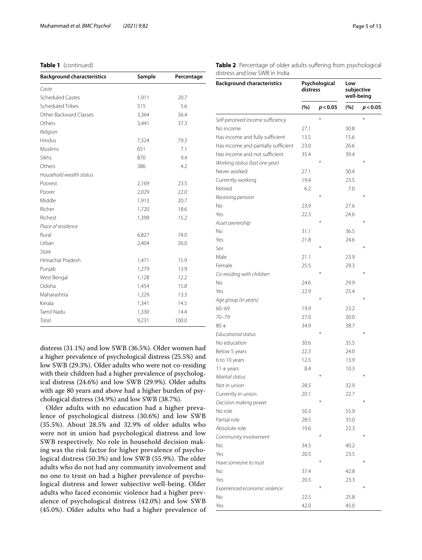# **Table 1** (continued)

| <b>Background characteristics</b> | Sample | Percentage |  |
|-----------------------------------|--------|------------|--|
| Caste                             |        |            |  |
| <b>Scheduled Castes</b>           | 1,911  | 20.7       |  |
| Scheduled Tribes                  | 515    | 5.6        |  |
| Other Backward Classes            | 3,364  | 36.4       |  |
| Others                            | 3,441  | 37.3       |  |
| Religion                          |        |            |  |
| Hindus                            | 7,324  | 79.3       |  |
| Muslims                           | 651    | 7.1        |  |
| Sikhs                             | 870    | 9.4        |  |
| Others                            | 386    | 4.2        |  |
| Household wealth status           |        |            |  |
| Poorest                           | 2,169  | 23.5       |  |
| Poorer                            | 2,029  | 22.0       |  |
| Middle                            | 1,913  | 20.7       |  |
| Richer                            | 1,720  | 18.6       |  |
| Richest                           | 1,399  | 15.2       |  |
| Place of residence                |        |            |  |
| Rural                             | 6,827  | 74.0       |  |
| Urban                             | 2,404  | 26.0       |  |
| State                             |        |            |  |
| Himachal Pradesh                  | 1,471  | 15.9       |  |
| Punjab                            | 1,279  | 13.9       |  |
| West Bengal                       | 1,128  | 12.2       |  |
| Odisha                            | 1,454  | 15.8       |  |
| Maharashtra                       | 1,229  | 13.3       |  |
| Kerala                            | 1,341  | 14.5       |  |
| Tamil Nadu                        | 1,330  | 14.4       |  |
| Total                             | 9,231  | 100.0      |  |

distress (31.1%) and low SWB (36.5%). Older women had a higher prevalence of psychological distress (25.5%) and low SWB (29.3%). Older adults who were not co-residing with their children had a higher prevalence of psychological distress (24.6%) and low SWB (29.9%). Older adults with age 80 years and above had a higher burden of psychological distress (34.9%) and low SWB (38.7%).

Older adults with no education had a higher prevalence of psychological distress (30.6%) and low SWB (35.5%). About 28.5% and 32.9% of older adults who were not in union had psychological distress and low SWB respectively. No role in household decision making was the risk factor for higher prevalence of psychological distress (50.3%) and low SWB (55.9%). The older adults who do not had any community involvement and no one to trust on had a higher prevalence of psychological distress and lower subjective well-being. Older adults who faced economic violence had a higher prevalence of psychological distress (42.0%) and low SWB (45.0%). Older adults who had a higher prevalence of <span id="page-4-0"></span>**Table 2** Percentage of older adults suffering from psychological distress and low SWB in India

| <b>Background characteristics</b>   |      | Psychological<br>distress |      | Low<br>subjective<br>well-being |  |
|-------------------------------------|------|---------------------------|------|---------------------------------|--|
|                                     | (%)  | p < 0.05                  | (%)  | p < 0.05                        |  |
| Self-perceived income sufficiency   |      | $\ast$                    |      | ∗                               |  |
| No income                           | 27.1 |                           | 30.8 |                                 |  |
| Has income and fully sufficient     | 13.5 |                           | 15.6 |                                 |  |
| Has income and partially sufficient | 23.0 |                           | 26.6 |                                 |  |
| Has income and not sufficient       | 35.4 |                           | 39.4 |                                 |  |
| Working status (last one year)      |      |                           |      | ∗                               |  |
| Never worked                        | 27.1 |                           | 30.4 |                                 |  |
| Currently working                   | 19.4 |                           | 23.5 |                                 |  |
| Retired                             | 6.2  |                           | 7.0  |                                 |  |
| Receiving pension                   |      | $\ast$                    |      | $\ast$                          |  |
| No                                  | 23.9 |                           | 27.6 |                                 |  |
| Yes                                 | 22.3 |                           | 24.6 |                                 |  |
| Asset ownership                     |      | $\ast$                    |      | $\ast$                          |  |
| No                                  | 31.1 |                           | 36.5 |                                 |  |
| Yes                                 | 21.8 |                           | 24.6 |                                 |  |
| Sex                                 |      | ⋇                         |      | ∗                               |  |
| Male                                | 21.1 |                           | 23.9 |                                 |  |
| Female                              | 25.5 |                           | 29.3 |                                 |  |
| Co-residing with children           |      | ₩                         |      | ⋇                               |  |
| No                                  | 24.6 |                           | 29.9 |                                 |  |
| Yes                                 | 22.9 |                           | 25.4 |                                 |  |
| Age group (in years)                |      | $\ast$                    |      | ₩                               |  |
| $60 - 69$                           | 19.9 |                           | 23.2 |                                 |  |
| $70 - 79$                           | 27.0 |                           | 30.0 |                                 |  |
| $80 +$                              | 34.9 |                           | 38.7 |                                 |  |
| <b>Educational status</b>           |      | ⋇                         |      | ⋇                               |  |
| No education                        | 30.6 |                           | 35.5 |                                 |  |
| Below 5 years                       | 22.3 |                           | 24.0 |                                 |  |
| 6 to 10 years                       | 12.5 |                           | 13.9 |                                 |  |
| $11 +$ years                        | 8.4  |                           | 10.3 |                                 |  |
| Marital status                      |      | ¥                         |      | ⋇                               |  |
| Not in union                        | 28.5 |                           | 32.9 |                                 |  |
| Currently in union                  | 20.1 |                           | 22.7 |                                 |  |
| Decision making power               |      | ₩                         |      | ⋇                               |  |
| No role                             | 50.3 |                           | 55.9 |                                 |  |
| Partial role                        | 28.5 |                           | 33.0 |                                 |  |
| Absolute role                       | 19.6 |                           | 22.3 |                                 |  |
| Community involvement               |      | ₩                         |      | ₩                               |  |
| No                                  | 34.5 |                           | 40.2 |                                 |  |
| Yes                                 | 20.5 |                           | 23.5 |                                 |  |
| Have someone to trust               |      | ⋇                         |      | ⋇                               |  |
| No                                  | 37.4 |                           | 42.8 |                                 |  |
| Yes                                 | 20.5 |                           | 23.3 |                                 |  |
| Experienced economic violence       |      | ⋇                         |      | ⋇                               |  |
| No                                  | 22.5 |                           | 25.8 |                                 |  |
| Yes                                 | 42.0 |                           | 45.0 |                                 |  |
|                                     |      |                           |      |                                 |  |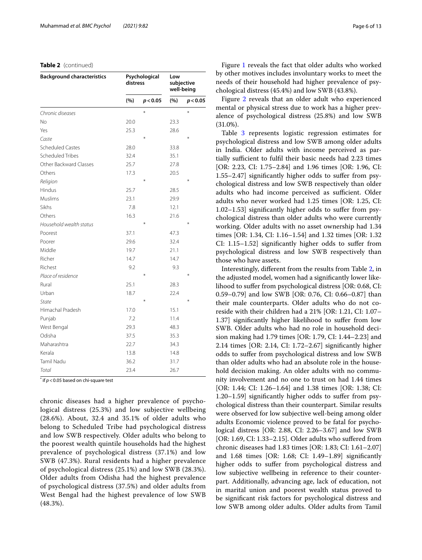### **Table 2** (continued)

| <b>Background characteristics</b> | Psychological<br>distress |          | Low<br>subjective<br>well-being |          |
|-----------------------------------|---------------------------|----------|---------------------------------|----------|
|                                   | (%)                       | p < 0.05 | (%)                             | p < 0.05 |
| Chronic diseases                  |                           | ¥        |                                 | $\ast$   |
| No                                | 20.0                      |          | 23.3                            |          |
| Yes                               | 25.3                      |          | 28.6                            |          |
| Caste                             |                           | ⋇        |                                 | ⋇        |
| <b>Scheduled Castes</b>           | 28.0                      |          | 33.8                            |          |
| Scheduled Tribes                  | 32.4                      |          | 35.1                            |          |
| Other Backward Classes            | 25.7                      |          | 27.8                            |          |
| Others                            | 17.3                      |          | 20.5                            |          |
| Religion                          |                           | ¥        |                                 | ⋇        |
| Hindus                            | 25.7                      |          | 28.5                            |          |
| Muslims                           | 23.1                      |          | 29.9                            |          |
| Sikhs                             | 7.8                       |          | 12.1                            |          |
| Others                            | 16.3                      |          | 21.6                            |          |
| Household wealth status           |                           | $\ast$   |                                 | ⋇        |
| Poorest                           | 37.1                      |          | 47.3                            |          |
| Poorer                            | 29.6                      |          | 32.4                            |          |
| Middle                            | 19.7                      |          | 21.1                            |          |
| Richer                            | 14.7                      |          | 14.7                            |          |
| Richest                           | 9.2                       |          | 9.3                             |          |
| Place of residence                |                           | $\ast$   |                                 | $\ast$   |
| Rural                             | 25.1                      |          | 28.3                            |          |
| Urban                             | 18.7                      |          | 22.4                            |          |
| State                             |                           | ⋇        |                                 | ⋇        |
| Himachal Pradesh                  | 17.0                      |          | 15.1                            |          |
| Punjab                            | 7.2                       |          | 11.4                            |          |
| West Bengal                       | 29.3                      |          | 48.3                            |          |
| Odisha                            | 37.5                      |          | 35.3                            |          |
| Maharashtra                       | 22.7                      |          | 34.3                            |          |
| Kerala                            | 13.8                      |          | 14.8                            |          |
| Tamil Nadu                        | 36.2                      |          | 31.7                            |          |
| Total                             | 23.4                      |          | 26.7                            |          |

 $*$  if  $p < 0.05$  based on chi-square test

chronic diseases had a higher prevalence of psychological distress (25.3%) and low subjective wellbeing (28.6%). About, 32.4 and 35.1% of older adults who belong to Scheduled Tribe had psychological distress and low SWB respectively. Older adults who belong to the poorest wealth quintile households had the highest prevalence of psychological distress (37.1%) and low SWB (47.3%). Rural residents had a higher prevalence of psychological distress (25.1%) and low SWB (28.3%). Older adults from Odisha had the highest prevalence of psychological distress (37.5%) and older adults from West Bengal had the highest prevalence of low SWB (48.3%).

Figure [1](#page-6-0) reveals the fact that older adults who worked by other motives includes involuntary works to meet the needs of their household had higher prevalence of psychological distress (45.4%) and low SWB (43.8%).

Figure [2](#page-6-1) reveals that an older adult who experienced mental or physical stress due to work has a higher prevalence of psychological distress (25.8%) and low SWB (31.0%).

Table [3](#page-7-0) represents logistic regression estimates for psychological distress and low SWB among older adults in India. Older adults with income perceived as partially sufficient to fulfil their basic needs had 2.23 times [OR: 2.23, CI: 1.75–2.84] and 1.96 times [OR: 1.96, CI: 1.55–2.47] signifcantly higher odds to sufer from psychological distress and low SWB respectively than older adults who had income perceived as sufficient. Older adults who never worked had 1.25 times [OR: 1.25, CI: 1.02–1.53] signifcantly higher odds to sufer from psychological distress than older adults who were currently working. Older adults with no asset ownership had 1.34 times [OR: 1.34, CI: 1.16–1.54] and 1.32 times [OR: 1.32 CI: 1.15–1.52] signifcantly higher odds to sufer from psychological distress and low SWB respectively than those who have assets.

Interestingly, diferent from the results from Table [2,](#page-4-0) in the adjusted model, women had a signifcantly lower likelihood to sufer from psychological distress [OR: 0.68, CI: 0.59–0.79] and low SWB [OR: 0.76, CI: 0.66–0.87] than their male counterparts. Older adults who do not coreside with their children had a 21% [OR: 1.21, CI: 1.07– 1.37] signifcantly higher likelihood to sufer from low SWB. Older adults who had no role in household decision making had 1.79 times [OR: 1.79, CI: 1.44–2.23] and 2.14 times [OR: 2.14, CI: 1.72–2.67] signifcantly higher odds to sufer from psychological distress and low SWB than older adults who had an absolute role in the household decision making. An older adults with no community involvement and no one to trust on had 1.44 times [OR: 1.44; CI: 1.26–1.64] and 1.38 times [OR: 1.38; CI: 1.20–1.59] signifcantly higher odds to sufer from psychological distress than their counterpart. Similar results were observed for low subjective well-being among older adults Economic violence proved to be fatal for psychological distress [OR: 2.88, CI: 2.26–3.67] and low SWB [OR: 1.69, CI: 1.33–2.15]. Older adults who sufered from chronic diseases had 1.83 times [OR: 1.83; CI: 1.61–2.07] and 1.68 times [OR: 1.68; CI: 1.49–1.89] signifcantly higher odds to sufer from psychological distress and low subjective wellbeing in reference to their counterpart. Additionally, advancing age, lack of education, not in marital union and poorest wealth status proved to be signifcant risk factors for psychological distress and low SWB among older adults. Older adults from Tamil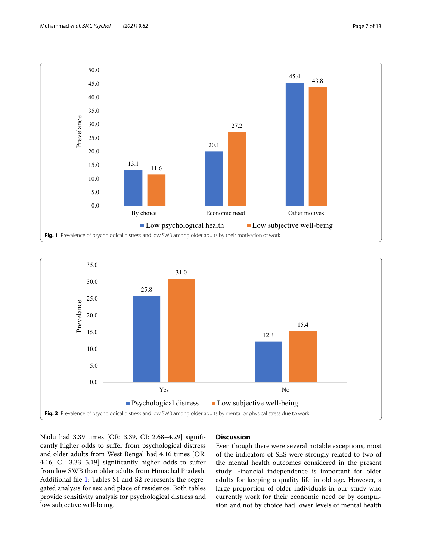

<span id="page-6-0"></span>

<span id="page-6-1"></span>Nadu had 3.39 times [OR: 3.39, CI: 2.68–4.29] signifcantly higher odds to sufer from psychological distress and older adults from West Bengal had 4.16 times [OR: 4.16, CI: 3.33–5.19] signifcantly higher odds to sufer from low SWB than older adults from Himachal Pradesh. Additional fle [1](#page-10-10): Tables S1 and S2 represents the segregated analysis for sex and place of residence. Both tables provide sensitivity analysis for psychological distress and low subjective well-being.

# **Discussion**

Even though there were several notable exceptions, most of the indicators of SES were strongly related to two of the mental health outcomes considered in the present study. Financial independence is important for older adults for keeping a quality life in old age. However, a large proportion of older individuals in our study who currently work for their economic need or by compulsion and not by choice had lower levels of mental health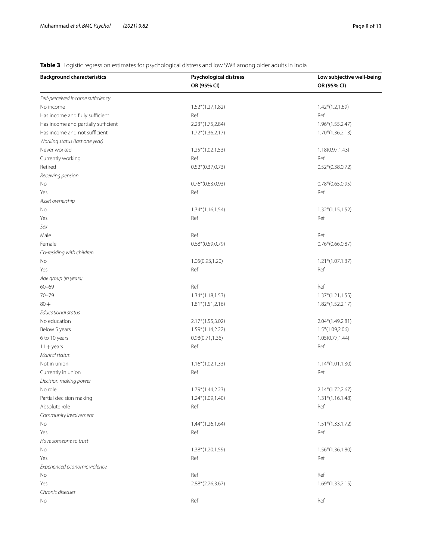# <span id="page-7-0"></span>**Table 3** Logistic regression estimates for psychological distress and low SWB among older adults in India

| <b>Background characteristics</b>   | Psychological distress | Low subjective well-being |
|-------------------------------------|------------------------|---------------------------|
|                                     | OR (95% CI)            | OR (95% CI)               |
| Self-perceived income sufficiency   |                        |                           |
| No income                           | 1.52*(1.27,1.82)       | $1.42*(1.2,1.69)$         |
| Has income and fully sufficient     | Ref                    | Ref                       |
| Has income and partially sufficient | 2.23*(1.75,2.84)       | $1.96*(1.55, 2.47)$       |
| Has income and not sufficient       | $1.72*(1.36, 2.17)$    | $1.70*(1.36, 2.13)$       |
| Working status (last one year)      |                        |                           |
| Never worked                        | $1.25*(1.02, 1.53)$    | 1.18(0.97,1.43)           |
| Currently working                   | Ref                    | Ref                       |
| Retired                             | $0.52*(0.37,0.73)$     | $0.52*(0.38,0.72)$        |
| Receiving pension                   |                        |                           |
| No                                  | $0.76*(0.63, 0.93)$    | $0.78*(0.65, 0.95)$       |
| Yes                                 | Ref                    | Ref                       |
| Asset ownership                     |                        |                           |
| No                                  | $1.34*(1.16, 1.54)$    | $1.32*(1.15, 1.52)$       |
| Yes                                 | Ref                    | Ref                       |
| Sex                                 |                        |                           |
| Male                                | Ref                    | Ref                       |
| Female                              | $0.68*(0.59, 0.79)$    | $0.76*(0.66, 0.87)$       |
| Co-residing with children           |                        |                           |
| No                                  | 1.05(0.93,1.20)        | $1.21*(1.07, 1.37)$       |
| Yes                                 | Ref                    | Ref                       |
|                                     |                        |                           |
| Age group (in years)<br>$60 - 69$   | Ref                    | Ref                       |
| $70 - 79$                           | $1.34*(1.18, 1.53)$    |                           |
|                                     |                        | $1.37*(1.21, 1.55)$       |
| $80 +$<br>Educational status        | $1.81*(1.51, 2.16)$    | $1.82*(1.52,2.17)$        |
|                                     |                        |                           |
| No education                        | $2.17*(1.55,3.02)$     | 2.04*(1.49,2.81)          |
| Below 5 years                       | 1.59*(1.14,2.22)       | $1.5*(1.09,2.06)$         |
| 6 to 10 years                       | 0.98(0.71, 1.36)       | 1.05(0.77,1.44)           |
| $11 + years$                        | Ref                    | Ref                       |
| Marital status                      |                        |                           |
| Not in union                        | $1.16*(1.02, 1.33)$    | $1.14*(1.01, 1.30)$       |
| Currently in union                  | Ref                    | Ref                       |
| Decision making power               |                        |                           |
| No role                             | 1.79*(1.44,2.23)       | 2.14*(1.72,2.67)          |
| Partial decision making             | $1.24*(1.09, 1.40)$    | $1.31*(1.16, 1.48)$       |
| Absolute role                       | Ref                    | Ref                       |
| Community involvement               |                        |                           |
| No                                  | $1.44*(1.26, 1.64)$    | $1.51*(1.33, 1.72)$       |
| Yes                                 | Ref                    | Ref                       |
| Have someone to trust               |                        |                           |
| No                                  | $1.38*(1.20, 1.59)$    | $1.56*(1.36, 1.80)$       |
| Yes                                 | Ref                    | Ref                       |
| Experienced economic violence       |                        |                           |
| No                                  | Ref                    | Ref                       |
| Yes                                 | $2.88*(2.26,3.67)$     | $1.69*(1.33,2.15)$        |
| Chronic diseases                    |                        |                           |
| No                                  | Ref                    | Ref                       |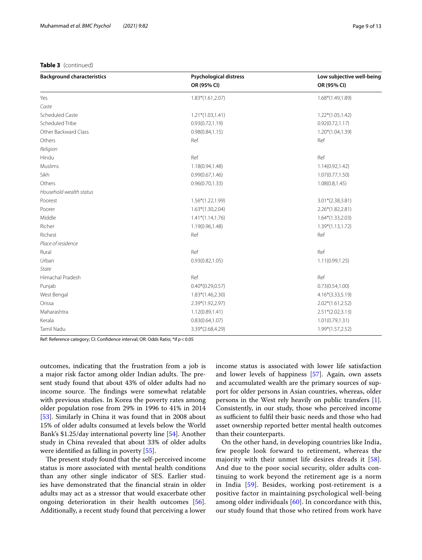## **Table 3** (continued)

| <b>Background characteristics</b> | <b>Psychological distress</b> | Low subjective well-being<br>OR (95% CI) |  |
|-----------------------------------|-------------------------------|------------------------------------------|--|
|                                   | OR (95% CI)                   |                                          |  |
| Yes                               | $1.83*(1.61,2.07)$            | $1.68*(1.49, 1.89)$                      |  |
| Caste                             |                               |                                          |  |
| Scheduled Caste                   | $1.21*(1.03, 1.41)$           | $1.22*(1.05, 1.42)$                      |  |
| Scheduled Tribe                   | 0.93(0.72, 1.19)              | 0.92(0.72, 1.17)                         |  |
| Other Backward Class              | 0.98(0.84, 1.15)              | $1.20*(1.04, 1.39)$                      |  |
| Others                            | Ref                           | Ref                                      |  |
| Religion                          |                               |                                          |  |
| Hindu                             | Ref                           | Ref                                      |  |
| Muslims                           | 1.18(0.94,1.48)               | 1.14(0.92, 1.42)                         |  |
| Sikh                              | 0.99(0.67, 1.46)              | 1.07(0.77, 1.50)                         |  |
| Others                            | 0.96(0.70, 1.33)              | 1.08(0.8, 1.45)                          |  |
| Household wealth status           |                               |                                          |  |
| Poorest                           | 1.56*(1.22,1.99)              | $3.01*(2.38,3.81)$                       |  |
| Poorer                            | $1.63*(1.30, 2.04)$           | $2.26*(1.82, 2.81)$                      |  |
| Middle                            | $1.41*(1.14,1.76)$            | $1.64*(1.33,2.03)$                       |  |
| Richer                            | 1.19(0.96,1.48)               | $1.39*(1.13, 1.72)$                      |  |
| Richest                           | Ref                           | Ref                                      |  |
| Place of residence                |                               |                                          |  |
| Rural                             | Ref                           | Ref                                      |  |
| Urban                             | 0.93(0.82, 1.05)              | 1.11(0.99, 1.25)                         |  |
| State                             |                               |                                          |  |
| Himachal Pradesh                  | Ref                           | Ref                                      |  |
| Punjab                            | $0.40*(0.29, 0.57)$           | 0.73(0.54, 1.00)                         |  |
| West Bengal                       | $1.83*(1.46, 2.30)$           | $4.16*(3.33,5.19)$                       |  |
| Orissa                            | 2.39*(1.92,2.97)              | $2.02*(1.61, 2.52)$                      |  |
| Maharashtra                       | 1.12(0.89,1.41)               | $2.51*(2.02,3.13)$                       |  |
| Kerala                            | 0.83(0.64, 1.07)              | 1.01(0.79, 1.31)                         |  |

Tamil Nadu 3.39\*(2.68,4.29) 1.99\*(1.57,2.52)

Ref: Reference category; CI: Confdence interval; OR: Odds Ratio; \*if *p*<0.05

outcomes, indicating that the frustration from a job is a major risk factor among older Indian adults. The present study found that about 43% of older adults had no income source. The findings were somewhat relatable with previous studies. In Korea the poverty rates among older population rose from 29% in 1996 to 41% in 2014 [[53\]](#page-11-35). Similarly in China it was found that in 2008 about 15% of older adults consumed at levels below the World Bank's \$1.25/day international poverty line [\[54](#page-11-36)]. Another study in China revealed that about 33% of older adults were identifed as falling in poverty [\[55\]](#page-11-37).

The present study found that the self-perceived income status is more associated with mental health conditions than any other single indicator of SES. Earlier studies have demonstrated that the fnancial strain in older adults may act as a stressor that would exacerbate other ongoing deterioration in their health outcomes [\[56](#page-11-38)]. Additionally, a recent study found that perceiving a lower income status is associated with lower life satisfaction and lower levels of happiness [[57\]](#page-11-39). Again, own assets and accumulated wealth are the primary sources of support for older persons in Asian countries, whereas, older persons in the West rely heavily on public transfers [\[1](#page-10-0)]. Consistently, in our study, those who perceived income as sufficient to fulfil their basic needs and those who had asset ownership reported better mental health outcomes than their counterparts.

On the other hand, in developing countries like India, few people look forward to retirement, whereas the majority with their unmet life desires dreads it [[58](#page-11-40)]. And due to the poor social security, older adults continuing to work beyond the retirement age is a norm in India [[59](#page-11-41)]. Besides, working post-retirement is a positive factor in maintaining psychological well-being among older individuals [[60\]](#page-12-0). In concordance with this, our study found that those who retired from work have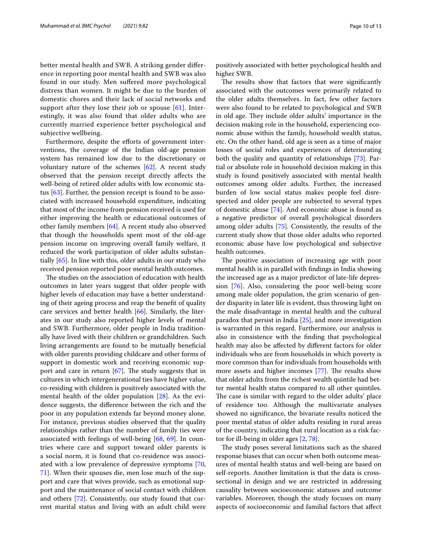better mental health and SWB. A striking gender diference in reporting poor mental health and SWB was also found in our study. Men sufered more psychological distress than women. It might be due to the burden of domestic chores and their lack of social networks and support after they lose their job or spouse  $[61]$  $[61]$ . Interestingly, it was also found that older adults who are currently married experience better psychological and subjective wellbeing.

Furthermore, despite the efforts of government interventions, the coverage of the Indian old-age pension system has remained low due to the discretionary or voluntary nature of the schemes [[62\]](#page-12-2). A recent study observed that the pension receipt directly afects the well-being of retired older adults with low economic status [[63\]](#page-12-3). Further, the pension receipt is found to be associated with increased household expenditure, indicating that most of the income from pension received is used for either improving the health or educational outcomes of other family members [[64](#page-12-4)]. A recent study also observed that though the households spent most of the old-age pension income on improving overall family welfare, it reduced the work participation of older adults substantially [\[65](#page-12-5)]. In line with this, older adults in our study who received pension reported poor mental health outcomes.

The studies on the association of education with health outcomes in later years suggest that older people with higher levels of education may have a better understanding of their ageing process and reap the beneft of quality care services and better health [\[66\]](#page-12-6). Similarly, the literates in our study also reported higher levels of mental and SWB. Furthermore, older people in India traditionally have lived with their children or grandchildren. Such living arrangements are found to be mutually benefcial with older parents providing childcare and other forms of support in domestic work and receiving economic support and care in return  $[67]$  $[67]$ . The study suggests that in cultures in which intergenerational ties have higher value, co-residing with children is positively associated with the mental health of the older population [\[28\]](#page-11-12). As the evidence suggests, the diference between the rich and the poor in any population extends far beyond money alone. For instance, previous studies observed that the quality relationships rather than the number of family ties were associated with feelings of well-being [[68,](#page-12-8) [69](#page-12-9)]. In countries where care and support toward older parents is a social norm, it is found that co-residence was associated with a low prevalence of depressive symptoms [\[70](#page-12-10), [71\]](#page-12-11). When their spouses die, men lose much of the support and care that wives provide, such as emotional support and the maintenance of social contact with children and others [[72\]](#page-12-12). Consistently, our study found that current marital status and living with an adult child were positively associated with better psychological health and higher SWB.

The results show that factors that were significantly associated with the outcomes were primarily related to the older adults themselves. In fact, few other factors were also found to be related to psychological and SWB in old age. They include older adults' importance in the decision making role in the household, experiencing economic abuse within the family, household wealth status, etc. On the other hand, old age is seen as a time of major losses of social roles and experiences of deteriorating both the quality and quantity of relationships [[73\]](#page-12-13). Partial or absolute role in household decision making in this study is found positively associated with mental health outcomes among older adults. Further, the increased burden of low social status makes people feel disrespected and older people are subjected to several types of domestic abuse [[74](#page-12-14)]. And economic abuse is found as a negative predictor of overall psychological disorders among older adults [\[75](#page-12-15)]. Consistently, the results of the current study show that those older adults who reported economic abuse have low psychological and subjective health outcomes.

The positive association of increasing age with poor mental health is in parallel with fndings in India showing the increased age as a major predictor of late-life depression [[76\]](#page-12-16). Also, considering the poor well-being score among male older population, the grim scenario of gender disparity in later life is evident, thus throwing light on the male disadvantage in mental health and the cultural paradox that persist in India [[25](#page-11-9)], and more investigation is warranted in this regard. Furthermore, our analysis is also in consistence with the fnding that psychological health may also be afected by diferent factors for older individuals who are from households in which poverty is more common than for individuals from households with more assets and higher incomes  $[77]$  $[77]$ . The results show that older adults from the richest wealth quintile had better mental health status compared to all other quintiles. The case is similar with regard to the older adults' place of residence too. Although the multivariate analyses showed no signifcance, the bivariate results noticed the poor mental status of older adults residing in rural areas of the country, indicating that rural location as a risk factor for ill-being in older ages [\[2](#page-10-1), [78\]](#page-12-18).

The study poses several limitations such as the shared response biases that can occur when both outcome measures of mental health status and well-being are based on self-reports. Another limitation is that the data is crosssectional in design and we are restricted in addressing causality between socioeconomic statuses and outcome variables. Moreover, though the study focuses on many aspects of socioeconomic and familial factors that afect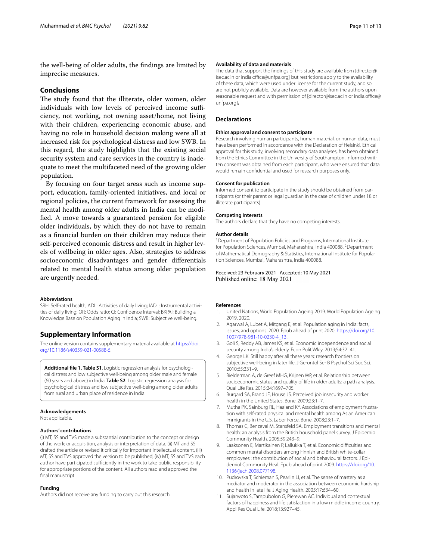the well-being of older adults, the fndings are limited by imprecise measures.

## **Conclusions**

The study found that the illiterate, older women, older individuals with low levels of perceived income sufficiency, not working, not owning asset/home, not living with their children, experiencing economic abuse, and having no role in household decision making were all at increased risk for psychological distress and low SWB. In this regard, the study highlights that the existing social security system and care services in the country is inadequate to meet the multifaceted need of the growing older population.

By focusing on four target areas such as income support, education, family-oriented initiatives, and local or regional policies, the current framework for assessing the mental health among older adults in India can be modifed. A move towards a guaranteed pension for eligible older individuals, by which they do not have to remain as a fnancial burden on their children may reduce their self-perceived economic distress and result in higher levels of wellbeing in older ages. Also, strategies to address socioeconomic disadvantages and gender diferentials related to mental health status among older population are urgently needed.

#### **Abbreviations**

SRH: Self-rated health; ADL: Activities of daily living; IADL: Instrumental activities of daily living; OR: Odds ratio; CI: Confdence Interval; BKPAI: Building a Knowledge Base on Population Aging in India; SWB: Subjective well-being.

## **Supplementary Information**

The online version contains supplementary material available at [https://doi.](https://doi.org/10.1186/s40359-021-00588-5) [org/10.1186/s40359-021-00588-5](https://doi.org/10.1186/s40359-021-00588-5).

<span id="page-10-10"></span>**Additional fle 1. Table S1**. Logistic regression analysis for psychological distress and low subjective well-being among older male and female (60 years and above) in India. **Table S2**. Logistic regression analysis for psychological distress and low subjective well-being among older adults from rural and urban place of residence in India.

## **Acknowledgements**

Not applicable.

#### **Authors' contributions**

(i) MT, SS and TVS made a substantial contribution to the concept or design of the work; or acquisition, analysis or interpretation of data. (ii) MT and SS drafted the article or revised it critically for important intellectual content, (iii) MT, SS and TVS approved the version to be published, (iv) MT, SS and TVS each author have participated sufficiently in the work to take public responsibility for appropriate portions of the content. All authors read and approved the final manuscript.

#### **Funding**

Authors did not receive any funding to carry out this research.

#### **Availability of data and materials**

The data that support the fndings of this study are available from [director@ isec.ac.in or india.office@unfpa.org] but restrictions apply to the availability of these data, which were used under license for the current study, and so are not publicly available. Data are however available from the authors upon reasonable request and with permission of [director@isec.ac.in or india.office@ unfpa.org]**.**

## **Declarations**

#### **Ethics approval and consent to participate**

Research involving human participants, human material, or human data, must have been performed in accordance with the Declaration of Helsinki. Ethical approval for this study, involving secondary data analyses, has been obtained from the Ethics Committee in the University of Southampton. Informed written consent was obtained from each participant, who were ensured that data would remain confdential and used for research purposes only.

#### **Consent for publication**

Informed consent to participate in the study should be obtained from participants (or their parent or legal guardian in the case of children under 18 or illiterate participants).

### **Competing Interests**

The authors declare that they have no competing interests.

#### **Author details**

<sup>1</sup> Department of Population Policies and Programs, International Institute for Population Sciences, Mumbai, Maharashtra, India 400088. <sup>2</sup>Department of Mathematical Demography & Statistics, International Institute for Population Sciences, Mumbai, Maharashtra, India 400088.

Received: 23 February 2021 Accepted: 10 May 2021 Published online: 18 May 2021

#### **References**

- <span id="page-10-0"></span>1. United Nations, World Population Ageing 2019. World Population Ageing 2019. 2020.
- <span id="page-10-1"></span>2. Agarwal A, Lubet A, Mitgang E, et al. Population aging in India: facts, issues, and options. 2020. Epub ahead of print 2020. [https://doi.org/10.](https://doi.org/10.1007/978-981-10-0230-4_13) [1007/978-981-10-0230-4\\_13.](https://doi.org/10.1007/978-981-10-0230-4_13)
- <span id="page-10-2"></span>3. Goli S, Reddy AB, James KS, et al. Economic independence and social security among India's elderly. Econ Polit Wkly. 2019;54:32–41.
- <span id="page-10-3"></span>4. George LK. Still happy after all these years: research frontiers on subjective well-being in later life. J Gerontol Ser B Psychol Sci Soc Sci. 2010;65:331–9.
- <span id="page-10-4"></span>5. Bielderman A, de Greef MHG, Krijnen WP, et al. Relationship between socioeconomic status and quality of life in older adults: a path analysis. Qual Life Res. 2015;24:1697–705.
- <span id="page-10-5"></span>6. Burgard SA, Brand JE, House JS. Perceived job insecurity and worker health in the United States. Bone. 2009;23:1–7.
- 7. Mutha PK, Sainburg RL, Haaland KY. Associations of employment frustration with self-rated physical and mental health among Asian American immigrants in the U.S. Labor Force. Bone. 2008;23:1–7.
- <span id="page-10-6"></span>8. Thomas C, Benzeval M, Stansfeld SA. Employment transitions and mental health: an analysis from the British household panel survey. J Epidemiol Community Health. 2005;59:243–9.
- <span id="page-10-7"></span>9. Laaksonen E, Martikainen P, Lallukka T, et al. Economic difficulties and common mental disorders among Finnish and British white-collar employees : the contribution of social and behavioural factors. J Epidemiol Community Heal. Epub ahead of print 2009. [https://doi.org/10.](https://doi.org/10.1136/jech.2008.077198) [1136/jech.2008.077198.](https://doi.org/10.1136/jech.2008.077198)
- <span id="page-10-8"></span>10. Pudrovska T, Schieman S, Pearlin LI, et al. The sense of mastery as a mediator and moderator in the association between economic hardship and health in late life. J Aging Health. 2005;17:634–60.
- <span id="page-10-9"></span>11. Sujarwoto S, Tampubolon G, Pierewan AC. Individual and contextual factors of happiness and life satisfaction in a low middle income country. Appl Res Qual Life. 2018;13:927–45.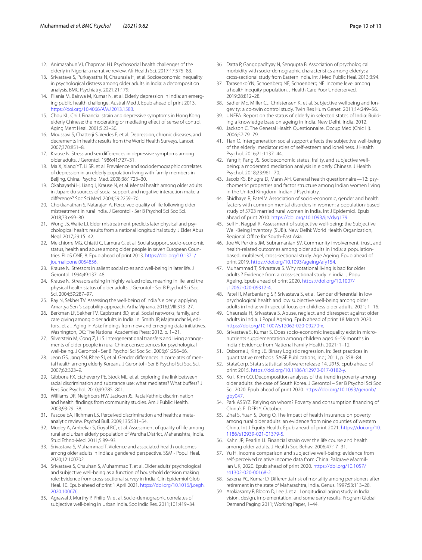- 12. Animasahun VJ, Chapman HJ. Psychosocial health challenges of the elderly in Nigeria: a narrative review. Afr Health Sci. 2017;17:575–83.
- <span id="page-11-0"></span>13. Srivastava S, Purkayastha N, Chaurasia H, et al. Socioeconomic inequality in psychological distress among older adults in India: a decomposition analysis. BMC Psychiatry. 2021;21:179.
- <span id="page-11-1"></span>14. Pilania M, Bairwa M, Kumar N, et al. Elderly depression in India: an emerging public health challenge. Austral Med J. Epub ahead of print 2013. <https://doi.org/10.4066/AMJ.2013.1583>.
- <span id="page-11-2"></span>15. Chou KL, Chi I. Financial strain and depressive symptoms in Hong Kong elderly Chinese: the moderating or mediating efect of sense of control. Aging Ment Heal. 2001;5:23–30.
- 16. Moussavi S, Chatterji S, Verdes E, et al. Depression, chronic diseases, and decrements in health: results from the World Health Surveys. Lancet. 2007;370:851–8.
- <span id="page-11-3"></span>17. Krause N. Stress and sex diferences in depressive symptoms among older adults. J Gerontol. 1986;41:727–31.
- <span id="page-11-4"></span>18. Ma X, Xiang YT, Li SR, et al. Prevalence and sociodemographic correlates of depression in an elderly population living with family members in Beijing, China. Psychol Med. 2008;38:1723–30.
- <span id="page-11-5"></span>19. Okabayashi H, Liang J, Krause N, et al. Mental health among older adults in Japan: do sources of social support and negative interaction make a diference? Soc Sci Med. 2004;59:2259–70.
- <span id="page-11-6"></span>20. Chokkanathan S, Natarajan A. Perceived quality of life following elder mistreatment in rural India. J Gerontol - Ser B Psychol Sci Soc Sci. 2018;73:e69–80.
- 21. Wong JS, Waite LJ. Elder mistreatment predicts later physical and psychological health: results from a national longitudinal study. J Elder Abus Negl. 2017;29:15–42.
- <span id="page-11-7"></span>22. Melchiorre MG, Chiatti C, Lamura G, et al. Social support, socio-economic status, health and abuse among older people in seven European Countries. PLoS ONE; 8. Epub ahead of print 2013. [https://doi.org/10.1371/](https://doi.org/10.1371/journal.pone.0054856) [journal.pone.0054856](https://doi.org/10.1371/journal.pone.0054856)
- 23. Krause N. Stressors in salient social roles and well-being in later life. J Gerontol. 1994;49:137–48.
- <span id="page-11-8"></span>24. Krause N. Stressors arising in highly valued roles, meaning in life, and the physical health status of older adults. J Gerontol - Ser B Psychol Sci Soc Sci. 2004;59:287–97.
- <span id="page-11-9"></span>25. Ray N, Sekher TV. Assessing the well-being of India 's elderly: applying Amartya Sen 's capability approach. Artha Vijnana. 2016;LVIII:313–27.
- <span id="page-11-10"></span>26. Berkman LF, Sekher TV, Capistrant BD, et al. Social networks, family, and care giving among older adults in India. In: Smith JP, Majmundar M, editors., et al., Aging in Asia: fndings from new and emerging data initiatives. Washington, DC: The National Academies Press; 2012. p. 1–21.
- <span id="page-11-11"></span>27. Silverstein M, Cong Z, Li S. Intergenerational transfers and living arrangements of older people in rural China: consequences for psychological well-being. J Gerontol - Ser B Psychol Sci Soc Sci. 2006;61:256–66.
- <span id="page-11-12"></span>28. Jeon GS, Jang SN, Rhee SJ, et al. Gender diferences in correlates of mental health among elderly Koreans. J Gerontol - Ser B Psychol Sci Soc Sci. 2007;62:323–9.
- <span id="page-11-13"></span>29. Gibbons FX, Etcheverry PE, Stock ML, et al. Exploring the link between racial discrimination and substance use: what mediates? What bufers? J Pers Soc Psychol. 2010;99:785–801.
- 30. Williams DR, Neighbors HW, Jackson JS. Racial/ethnic discrimination and health: fndings from community studies. Am J Public Health. 2003;93:29–38.
- <span id="page-11-14"></span>31. Pascoe EA, Richman LS. Perceived discrimination and health: a metaanalytic review. Psychol Bull. 2009;135:531–54.
- <span id="page-11-15"></span>32. Mudey A, Ambekar S, Goyal RC, et al. Assessment of quality of life among rural and urban elderly population of Wardha District, Maharashtra, India. Stud Ethno-Med. 2011;5:89–93.
- <span id="page-11-16"></span>33. Srivastava S, Muhammad T. Violence and associated health outcomes among older adults in India: a gendered perspective. SSM - Popul Heal. 2020;12:100702.
- <span id="page-11-30"></span>34. Srivastava S, Chauhan S, Muhammad T, et al. Older adults' psychological and subjective well-being as a function of household decision making role: Evidence from cross-sectional survey in India. Clin Epidemiol Glob Heal. 10. Epub ahead of print 1 April 2021. [https://doi.org/10.1016/j.cegh.](https://doi.org/10.1016/j.cegh.2020.100676) [2020.100676.](https://doi.org/10.1016/j.cegh.2020.100676)
- 35. Agrawal J, Murthy P, Philip M, et al. Socio-demographic correlates of subjective well-being in Urban India. Soc Indic Res. 2011;101:419–34.
- <span id="page-11-17"></span>36. Datta P, Gangopadhyay N, Sengupta B. Association of psychological morbidity with socio-demographic characteristics among elderly: a cross-sectional study from Eastern India. Int J Med Public Heal. 2013;3:94.
- <span id="page-11-18"></span>37. Tarasenko YN, Schoenberg NE, Schoenberg NE. Income level among a health inequity population. J Health Care Poor Underserved. 2019;28:812–28.
- <span id="page-11-19"></span>38. Sadler ME, Miller CJ, Christensen K, et al. Subjective wellbeing and longevity: a co-twin control study. Twin Res Hum Genet. 2011;14:249–56.
- <span id="page-11-20"></span>39. UNFPA. Report on the status of elderly in selected states of India: Building a knowledge base on ageing in India. New Delhi, India, 2012.
- <span id="page-11-21"></span>40. Jackson C. The General Health Questionnaire. Occup Med (Chic Ill). 2006;57:79–79.
- <span id="page-11-22"></span>41. Tian Q. Intergeneration social support afects the subjective well-being of the elderly: mediator roles of self-esteem and loneliness. J Health Psychol. 2016;21:1137–44.
- <span id="page-11-23"></span>42. Yang F, Pang JS. Socioeconomic status, frailty, and subjective wellbeing: a moderated mediation analysis in elderly Chinese. J Health Psychol. 2018;23:961–70.
- <span id="page-11-24"></span>43. Jacob KS, Bhugra D, Mann AH. General health questionnaire—12: psychometric properties and factor structure among Indian women living in the United Kingdom. Indian J Psychiatry.
- <span id="page-11-25"></span>44. Shidhaye R, Patel V. Association of socio-economic, gender and health factors with common mental disorders in women: a population-based study of 5703 married rural women in India. Int J Epidemiol. Epub ahead of print 2010.<https://doi.org/10.1093/ije/dyq179>.
- <span id="page-11-26"></span>45. Sell H, Nagpal R. Assessment of subjective well-being: the Subjective Well-Being Inventory (SUBI). New Delhi: World Health Organization, Regional Office for South-East Asia.
- <span id="page-11-27"></span>46. Joe W, Perkins JM, Subramanian SV. Community involvement, trust, and health-related outcomes among older adults in India: a populationbased, multilevel, cross-sectional study. Age Ageing. Epub ahead of print 2019. <https://doi.org/10.1093/ageing/afy154>.
- <span id="page-11-28"></span>47. Muhammad T, Srivastava S. Why rotational living is bad for older adults ? Evidence from a cross-sectional study in india. J Popul Ageing. Epub ahead of print 2020. [https://doi.org/10.1007/](https://doi.org/10.1007/s12062-020-09312-4) [s12062-020-09312-4](https://doi.org/10.1007/s12062-020-09312-4).
- <span id="page-11-29"></span>48. Patel R, Marbaniang SP, Srivastava S, et al. Gender diferential in low psychological health and low subjective well-being among older adults in India: with special focus on childless older adults. 2021; 1–16.
- <span id="page-11-31"></span>49. Chaurasia H, Srivastava S. Abuse, neglect, and disrespect against older adults in India. J Popul Ageing. Epub ahead of print 18 March 2020. <https://doi.org/10.1007/s12062-020-09270-x>.
- <span id="page-11-32"></span>50. Srivastava S, Kumar S. Does socio-economic inequality exist in micronutrients supplementation among children aged 6–59 months in India ? Evidence from National Family Health. 2021; 1–12.
- <span id="page-11-33"></span>51. Osborne J, King JE. Binary Logistic regression. In: Best practices in quantitative methods. SAGE Publications, Inc.; 2011, p. 358–84.
- <span id="page-11-34"></span>52. StataCorp. Stata statistical software: release 14. *2015*. Epub ahead of print 2015. <https://doi.org/10.1186/s12970-017-0182-y>.
- <span id="page-11-35"></span>53. Ku I, Kim CO. Decomposition analyses of the trend in poverty among older adults: the case of South Korea. J Gerontol – Ser B Psychol Sci Soc Sci. 2020. Epub ahead of print 2020. [https://doi.org/10.1093/geronb/](https://doi.org/10.1093/geronb/gby047) [gby047.](https://doi.org/10.1093/geronb/gby047)
- <span id="page-11-36"></span>54. Park ASSYZ. Relying on whom? Poverty and consumption fnancing of China's ELDERLY. October.
- <span id="page-11-37"></span>55. Zhai S, Yuan S, Dong Q. The impact of health insurance on poverty among rural older adults: an evidence from nine counties of western China. Int J Equity Health. Epub ahead of print 2021. [https://doi.org/10.](https://doi.org/10.1186/s12939-021-01379-5) [1186/s12939-021-01379-5](https://doi.org/10.1186/s12939-021-01379-5).
- <span id="page-11-38"></span>56. Kahn JR, Pearlin LI. Financial strain over the life course and health among older adults. J Health Soc Behav. 2006;47:17–31.
- <span id="page-11-39"></span>57. Yu H. Income comparison and subjective well-being: evidence from self-perceived relative income data from China. Palgrave Macmillan UK, 2020. Epub ahead of print 2020. [https://doi.org/10.1057/](https://doi.org/10.1057/s41302-020-00168-2) [s41302-020-00168-2](https://doi.org/10.1057/s41302-020-00168-2).
- <span id="page-11-40"></span>58. Saxena PC, Kumar D. Diferential risk of mortality among pensioners after retirement in the state of Maharashtra, India. Genus. 1997;53:113–28.
- <span id="page-11-41"></span>59. Arokiasamy P, Bloom D, Lee J, et al. Longitudinal aging study in India: vision, design, implementation, and some early results. Program Global Demand Paging 2011; Working Paper, 1–44.